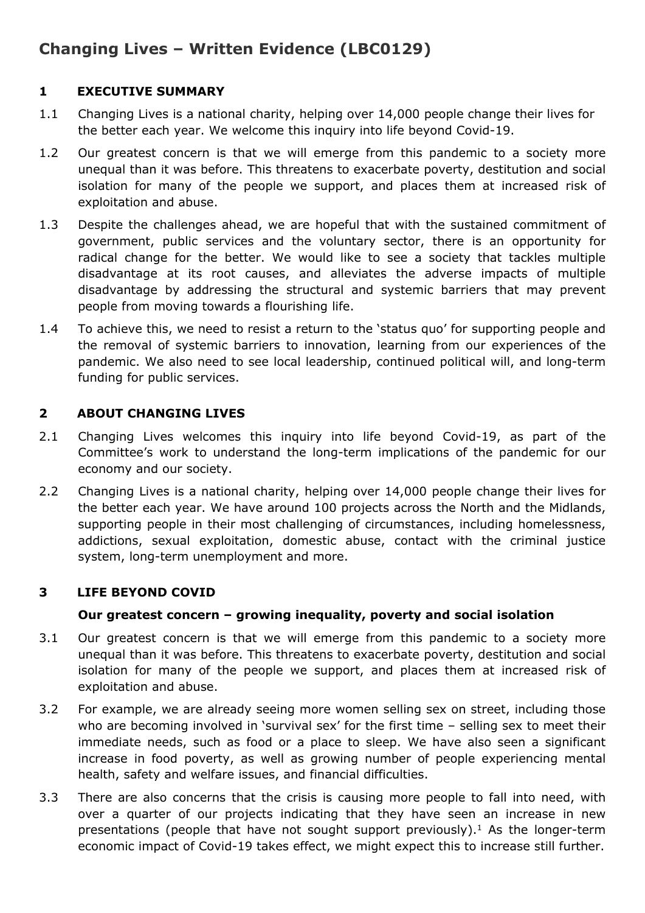# **Changing Lives – Written Evidence (LBC0129)**

## **1 EXECUTIVE SUMMARY**

- 1.1 Changing Lives is a national charity, helping over 14,000 people change their lives for the better each year. We welcome this inquiry into life beyond Covid-19.
- 1.2 Our greatest concern is that we will emerge from this pandemic to a society more unequal than it was before. This threatens to exacerbate poverty, destitution and social isolation for many of the people we support, and places them at increased risk of exploitation and abuse.
- 1.3 Despite the challenges ahead, we are hopeful that with the sustained commitment of government, public services and the voluntary sector, there is an opportunity for radical change for the better. We would like to see a society that tackles multiple disadvantage at its root causes, and alleviates the adverse impacts of multiple disadvantage by addressing the structural and systemic barriers that may prevent people from moving towards a flourishing life.
- 1.4 To achieve this, we need to resist a return to the 'status quo' for supporting people and the removal of systemic barriers to innovation, learning from our experiences of the pandemic. We also need to see local leadership, continued political will, and long-term funding for public services.

## **2 ABOUT CHANGING LIVES**

- 2.1 Changing Lives welcomes this inquiry into life beyond Covid-19, as part of the Committee's work to understand the long-term implications of the pandemic for our economy and our society.
- 2.2 Changing Lives is a national charity, helping over 14,000 people change their lives for the better each year. We have around 100 projects across the North and the Midlands, supporting people in their most challenging of circumstances, including homelessness, addictions, sexual exploitation, domestic abuse, contact with the criminal justice system, long-term unemployment and more.

# **3 LIFE BEYOND COVID**

## **Our greatest concern – growing inequality, poverty and social isolation**

- 3.1 Our greatest concern is that we will emerge from this pandemic to a society more unequal than it was before. This threatens to exacerbate poverty, destitution and social isolation for many of the people we support, and places them at increased risk of exploitation and abuse.
- 3.2 For example, we are already seeing more women selling sex on street, including those who are becoming involved in 'survival sex' for the first time - selling sex to meet their immediate needs, such as food or a place to sleep. We have also seen a significant increase in food poverty, as well as growing number of people experiencing mental health, safety and welfare issues, and financial difficulties.
- 3.3 There are also concerns that the crisis is causing more people to fall into need, with over a quarter of our projects indicating that they have seen an increase in new presentations (people that have not sought support previously).<sup>1</sup> As the longer-term economic impact of Covid-19 takes effect, we might expect this to increase still further.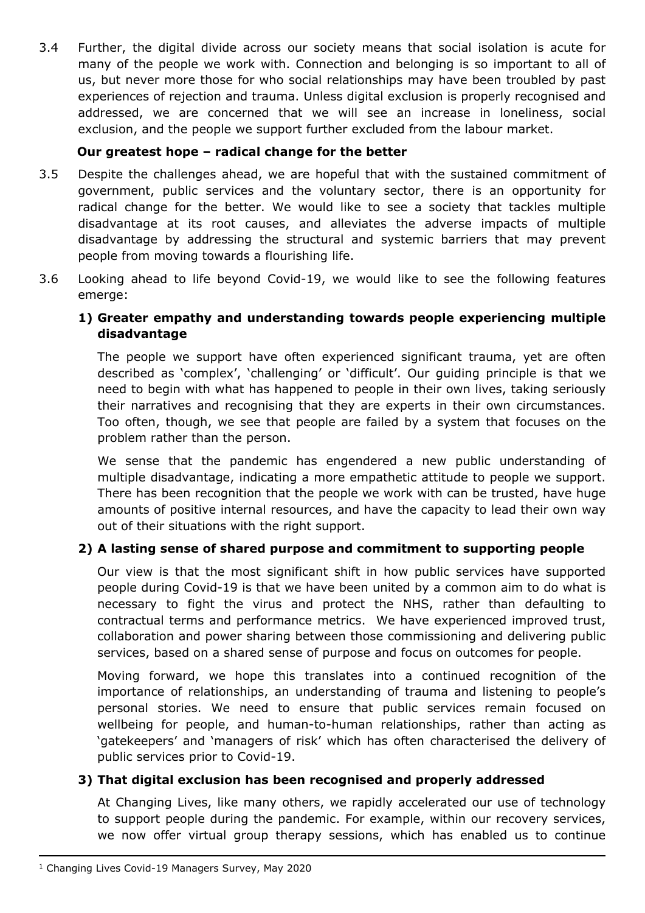3.4 Further, the digital divide across our society means that social isolation is acute for many of the people we work with. Connection and belonging is so important to all of us, but never more those for who social relationships may have been troubled by past experiences of rejection and trauma. Unless digital exclusion is properly recognised and addressed, we are concerned that we will see an increase in loneliness, social exclusion, and the people we support further excluded from the labour market.

## **Our greatest hope – radical change for the better**

- 3.5 Despite the challenges ahead, we are hopeful that with the sustained commitment of government, public services and the voluntary sector, there is an opportunity for radical change for the better. We would like to see a society that tackles multiple disadvantage at its root causes, and alleviates the adverse impacts of multiple disadvantage by addressing the structural and systemic barriers that may prevent people from moving towards a flourishing life.
- 3.6 Looking ahead to life beyond Covid-19, we would like to see the following features emerge:

## **1) Greater empathy and understanding towards people experiencing multiple disadvantage**

The people we support have often experienced significant trauma, yet are often described as 'complex', 'challenging' or 'difficult'. Our guiding principle is that we need to begin with what has happened to people in their own lives, taking seriously their narratives and recognising that they are experts in their own circumstances. Too often, though, we see that people are failed by a system that focuses on the problem rather than the person.

We sense that the pandemic has engendered a new public understanding of multiple disadvantage, indicating a more empathetic attitude to people we support. There has been recognition that the people we work with can be trusted, have huge amounts of positive internal resources, and have the capacity to lead their own way out of their situations with the right support.

## **2) A lasting sense of shared purpose and commitment to supporting people**

Our view is that the most significant shift in how public services have supported people during Covid-19 is that we have been united by a common aim to do what is necessary to fight the virus and protect the NHS, rather than defaulting to contractual terms and performance metrics. We have experienced improved trust, collaboration and power sharing between those commissioning and delivering public services, based on a shared sense of purpose and focus on outcomes for people.

Moving forward, we hope this translates into a continued recognition of the importance of relationships, an understanding of trauma and listening to people's personal stories. We need to ensure that public services remain focused on wellbeing for people, and human-to-human relationships, rather than acting as 'gatekeepers' and 'managers of risk' which has often characterised the delivery of public services prior to Covid-19.

## **3) That digital exclusion has been recognised and properly addressed**

At Changing Lives, like many others, we rapidly accelerated our use of technology to support people during the pandemic. For example, within our recovery services, we now offer virtual group therapy sessions, which has enabled us to continue

<sup>1</sup> Changing Lives Covid-19 Managers Survey, May 2020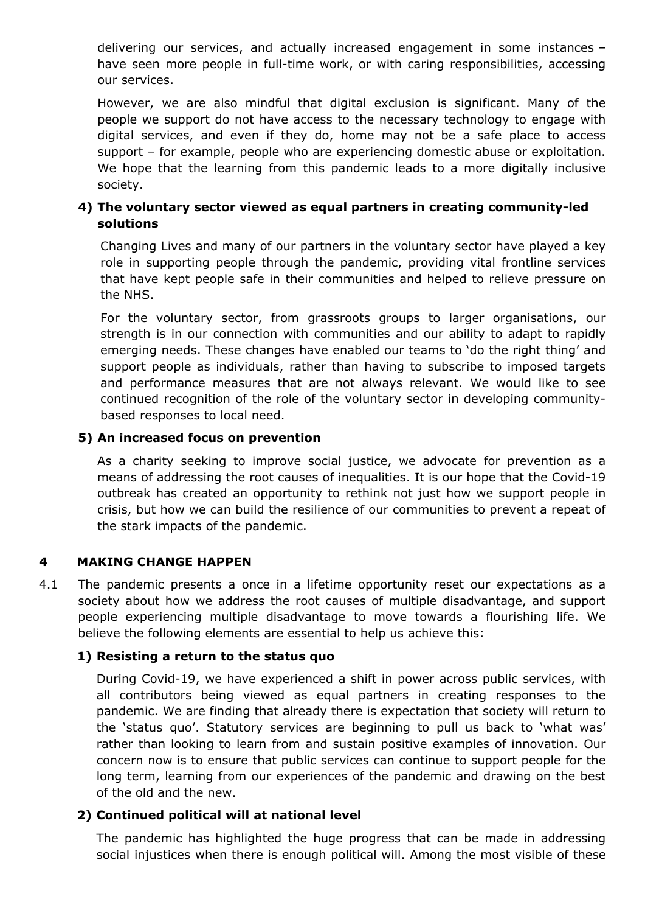delivering our services, and actually increased engagement in some instances – have seen more people in full-time work, or with caring responsibilities, accessing our services.

However, we are also mindful that digital exclusion is significant. Many of the people we support do not have access to the necessary technology to engage with digital services, and even if they do, home may not be a safe place to access support – for example, people who are experiencing domestic abuse or exploitation. We hope that the learning from this pandemic leads to a more digitally inclusive society.

## **4) The voluntary sector viewed as equal partners in creating community-led solutions**

Changing Lives and many of our partners in the voluntary sector have played a key role in supporting people through the pandemic, providing vital frontline services that have kept people safe in their communities and helped to relieve pressure on the NHS.

For the voluntary sector, from grassroots groups to larger organisations, our strength is in our connection with communities and our ability to adapt to rapidly emerging needs. These changes have enabled our teams to 'do the right thing' and support people as individuals, rather than having to subscribe to imposed targets and performance measures that are not always relevant. We would like to see continued recognition of the role of the voluntary sector in developing communitybased responses to local need.

## **5) An increased focus on prevention**

As a charity seeking to improve social justice, we advocate for prevention as a means of addressing the root causes of inequalities. It is our hope that the Covid-19 outbreak has created an opportunity to rethink not just how we support people in crisis, but how we can build the resilience of our communities to prevent a repeat of the stark impacts of the pandemic.

## **4 MAKING CHANGE HAPPEN**

4.1 The pandemic presents a once in a lifetime opportunity reset our expectations as a society about how we address the root causes of multiple disadvantage, and support people experiencing multiple disadvantage to move towards a flourishing life. We believe the following elements are essential to help us achieve this:

#### **1) Resisting a return to the status quo**

During Covid-19, we have experienced a shift in power across public services, with all contributors being viewed as equal partners in creating responses to the pandemic. We are finding that already there is expectation that society will return to the 'status quo'. Statutory services are beginning to pull us back to 'what was' rather than looking to learn from and sustain positive examples of innovation. Our concern now is to ensure that public services can continue to support people for the long term, learning from our experiences of the pandemic and drawing on the best of the old and the new.

#### **2) Continued political will at national level**

The pandemic has highlighted the huge progress that can be made in addressing social injustices when there is enough political will. Among the most visible of these